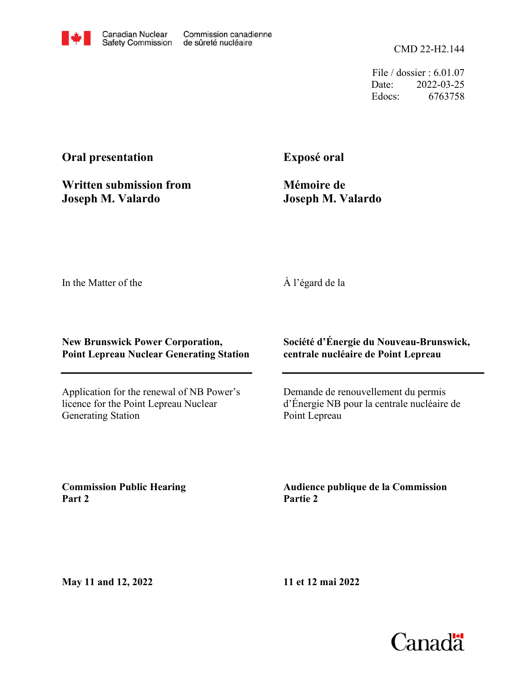CMD 22-H2.144

File / dossier : 6.01.07 Date: 2022-03-25 Edocs: 6763758

# **Oral presentation**

**Written submission from Joseph M. Valardo**

**Exposé oral**

**Mémoire de Joseph M. Valardo**

In the Matter of the

## À l'égard de la

### **New Brunswick Power Corporation, Point Lepreau Nuclear Generating Station**

Application for the renewal of NB Power's licence for the Point Lepreau Nuclear Generating Station

### **Société d'Énergie du Nouveau-Brunswick, centrale nucléaire de Point Lepreau**

Demande de renouvellement du permis d'Énergie NB pour la centrale nucléaire de Point Lepreau

**Commission Public Hearing Part 2**

**Audience publique de la Commission Partie 2**

**May 11 and 12, 2022**

**11 et 12 mai 2022**

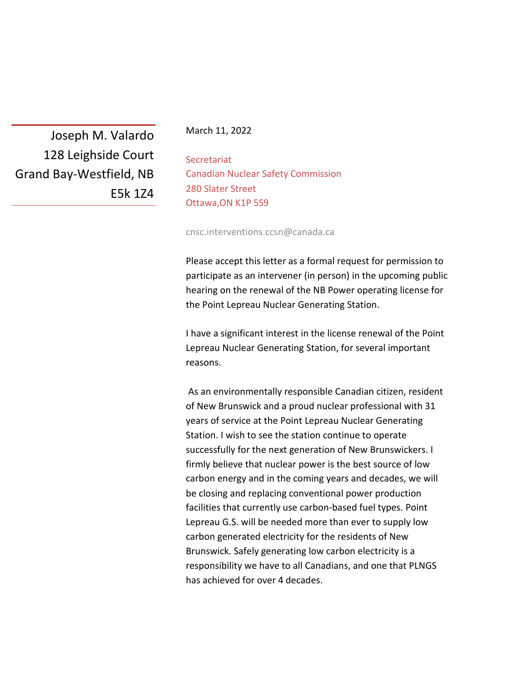Joseph M. Valardo 128 Leighside Court Grand Bay-Westfield, NB E5k 1Z4

#### March 11, 2022

**Secretariat** Canadian Nuclear Safety Commission 280 Slater Street Ottawa,ON K1P 5S9

cnsc.interventions.ccsn@canada.ca

Please accept this letter as a formal request for permission to participate as an intervener (in person) in the upcoming public hearing on the renewal of the NB Power operating license for the Point Lepreau Nuclear Generating Station.

I have a significant interest in the license renewal of the Point Lepreau Nuclear Generating Station, for several important reasons.

As an environmentally responsible Canadian citizen, resident of New Brunswick and a proud nuclear professional with 31 years of service at the Point Lepreau Nuclear Generating Station. I wish to see the station continue to operate successfully for the next generation of New Brunswickers. I firmly believe that nuclear power is the best source of low carbon energy and in the coming years and decades, we will be closing and replacing conventional power production facilities that currently use carbon-based fuel types. Point Lepreau G.S. will be needed more than ever to supply low carbon generated electricity for the residents of New Brunswick. Safely generating low carbon electricity is a responsibility we have to all Canadians, and one that PLNGS has achieved for over 4 decades.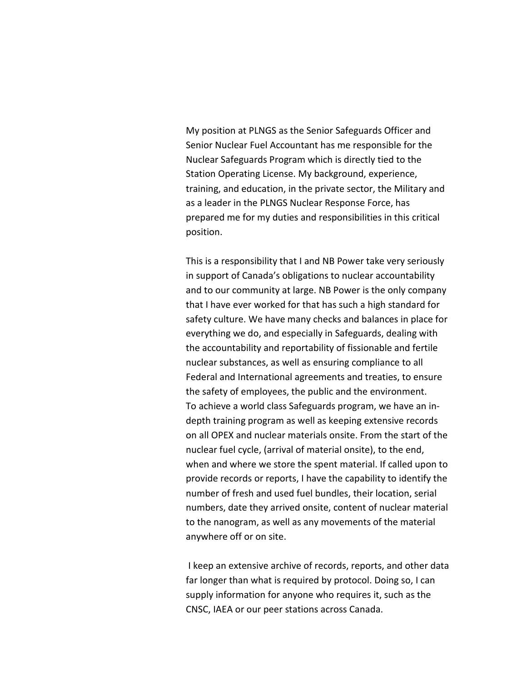My position at PLNGS as the Senior Safeguards Officer and Senior Nuclear Fuel Accountant has me responsible for the Nuclear Safeguards Program which is directly tied to the Station Operating License. My background, experience, training, and education, in the private sector, the Military and as a leader in the PLNGS Nuclear Response Force, has prepared me for my duties and responsibilities in this critical position.

This is a responsibility that I and NB Power take very seriously in support of Canada's obligations to nuclear accountability and to our community at large. NB Power is the only company that I have ever worked for that has such a high standard for safety culture. We have many checks and balances in place for everything we do, and especially in Safeguards, dealing with the accountability and reportability of fissionable and fertile nuclear substances, as well as ensuring compliance to all Federal and International agreements and treaties, to ensure the safety of employees, the public and the environment. To achieve a world class Safeguards program, we have an indepth training program as well as keeping extensive records on all OPEX and nuclear materials onsite. From the start of the nuclear fuel cycle, (arrival of material onsite), to the end, when and where we store the spent material. If called upon to provide records or reports, I have the capability to identify the number of fresh and used fuel bundles, their location, serial numbers, date they arrived onsite, content of nuclear material to the nanogram, as well as any movements of the material anywhere off or on site.

I keep an extensive archive of records, reports, and other data far longer than what is required by protocol. Doing so, I can supply information for anyone who requires it, such as the CNSC, IAEA or our peer stations across Canada.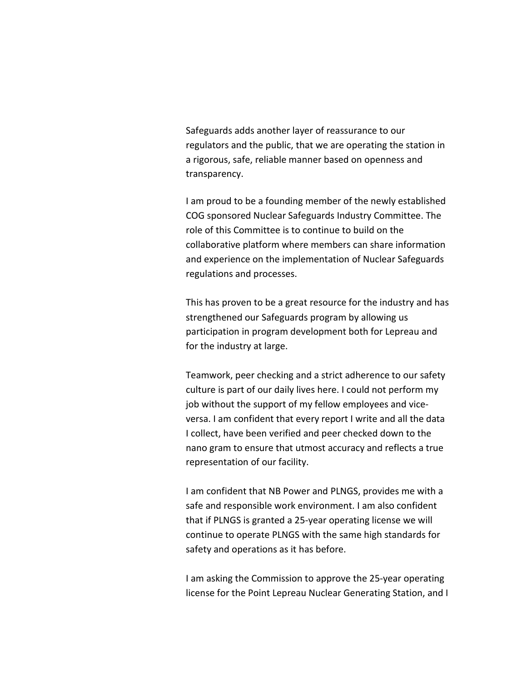Safeguards adds another layer of reassurance to our regulators and the public, that we are operating the station in a rigorous, safe, reliable manner based on openness and transparency.

I am proud to be a founding member of the newly established COG sponsored Nuclear Safeguards Industry Committee. The role of this Committee is to continue to build on the collaborative platform where members can share information and experience on the implementation of Nuclear Safeguards regulations and processes.

This has proven to be a great resource for the industry and has strengthened our Safeguards program by allowing us participation in program development both for Lepreau and for the industry at large.

Teamwork, peer checking and a strict adherence to our safety culture is part of our daily lives here. I could not perform my job without the support of my fellow employees and viceversa. I am confident that every report I write and all the data I collect, have been verified and peer checked down to the nano gram to ensure that utmost accuracy and reflects a true representation of our facility.

I am confident that NB Power and PLNGS, provides me with a safe and responsible work environment. I am also confident that if PLNGS is granted a 25-year operating license we will continue to operate PLNGS with the same high standards for safety and operations as it has before.

I am asking the Commission to approve the 25-year operating license for the Point Lepreau Nuclear Generating Station, and I